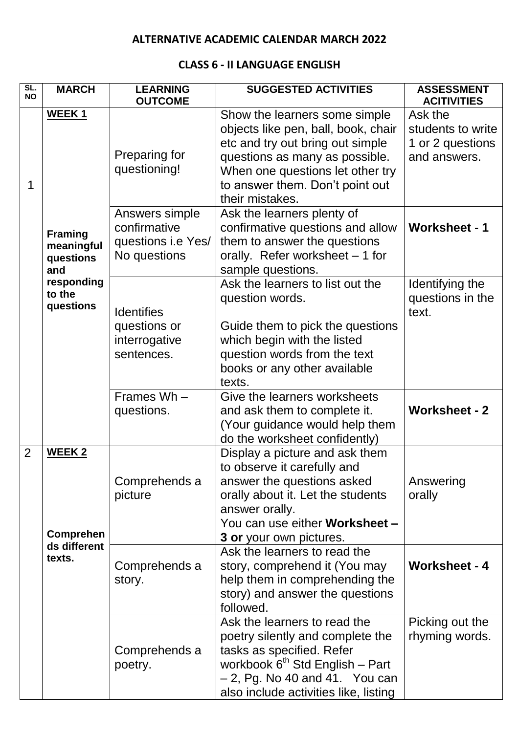#### **ALTERNATIVE ACADEMIC CALENDAR MARCH 2022**

#### **CLASS 6 - II LANGUAGE ENGLISH**

| SL.<br><b>NO</b> | <b>MARCH</b>                     | <b>LEARNING</b>          | <b>SUGGESTED ACTIVITIES</b>                                                                                                                                                                                               | <b>ASSESSMENT</b>                 |
|------------------|----------------------------------|--------------------------|---------------------------------------------------------------------------------------------------------------------------------------------------------------------------------------------------------------------------|-----------------------------------|
|                  |                                  | <b>OUTCOME</b>           |                                                                                                                                                                                                                           | <b>ACITIVITIES</b>                |
|                  | WEEK <sub>1</sub>                |                          | Show the learners some simple                                                                                                                                                                                             | Ask the<br>students to write      |
|                  |                                  |                          | objects like pen, ball, book, chair                                                                                                                                                                                       |                                   |
|                  |                                  | Preparing for            | etc and try out bring out simple                                                                                                                                                                                          | 1 or 2 questions                  |
|                  |                                  | questioning!             | questions as many as possible.                                                                                                                                                                                            | and answers.                      |
| 1                |                                  |                          | When one questions let other try<br>to answer them. Don't point out                                                                                                                                                       |                                   |
|                  |                                  |                          | their mistakes.                                                                                                                                                                                                           |                                   |
|                  |                                  | Answers simple           | Ask the learners plenty of                                                                                                                                                                                                |                                   |
|                  |                                  | confirmative             | confirmative questions and allow                                                                                                                                                                                          | <b>Worksheet - 1</b>              |
|                  | <b>Framing</b>                   | questions i.e Yes/       | them to answer the questions                                                                                                                                                                                              |                                   |
|                  | meaningful                       | No questions             | orally. Refer worksheet - 1 for                                                                                                                                                                                           |                                   |
|                  | questions<br>and                 |                          | sample questions.                                                                                                                                                                                                         |                                   |
|                  | responding                       |                          | Ask the learners to list out the                                                                                                                                                                                          | Identifying the                   |
|                  | to the                           |                          | question words.                                                                                                                                                                                                           | questions in the                  |
|                  | questions                        | <b>Identifies</b>        |                                                                                                                                                                                                                           | text.                             |
|                  |                                  | questions or             | Guide them to pick the questions                                                                                                                                                                                          |                                   |
|                  |                                  | interrogative            | which begin with the listed                                                                                                                                                                                               |                                   |
|                  |                                  | sentences.               | question words from the text                                                                                                                                                                                              |                                   |
|                  |                                  |                          | books or any other available                                                                                                                                                                                              |                                   |
|                  |                                  |                          | texts.                                                                                                                                                                                                                    |                                   |
|                  |                                  | Frames Wh-               | Give the learners worksheets                                                                                                                                                                                              |                                   |
|                  |                                  | questions.               | and ask them to complete it.                                                                                                                                                                                              | <b>Worksheet - 2</b>              |
|                  |                                  |                          | (Your guidance would help them                                                                                                                                                                                            |                                   |
|                  |                                  |                          | do the worksheet confidently)                                                                                                                                                                                             |                                   |
| $\overline{2}$   | <b>WEEK2</b>                     |                          | Display a picture and ask them                                                                                                                                                                                            |                                   |
|                  |                                  |                          | to observe it carefully and                                                                                                                                                                                               |                                   |
|                  |                                  | Comprehends a            | answer the questions asked                                                                                                                                                                                                | Answering                         |
|                  |                                  | picture                  | orally about it. Let the students                                                                                                                                                                                         | orally                            |
|                  |                                  |                          | answer orally.                                                                                                                                                                                                            |                                   |
|                  |                                  |                          | You can use either Worksheet -                                                                                                                                                                                            |                                   |
|                  | <b>Comprehen</b><br>ds different |                          | 3 or your own pictures.                                                                                                                                                                                                   |                                   |
|                  | texts.                           |                          | Ask the learners to read the                                                                                                                                                                                              |                                   |
|                  |                                  | Comprehends a            | story, comprehend it (You may                                                                                                                                                                                             | <b>Worksheet - 4</b>              |
|                  |                                  | story.                   | help them in comprehending the                                                                                                                                                                                            |                                   |
|                  |                                  |                          | story) and answer the questions                                                                                                                                                                                           |                                   |
|                  |                                  |                          | followed.                                                                                                                                                                                                                 |                                   |
|                  |                                  |                          |                                                                                                                                                                                                                           |                                   |
|                  |                                  | Comprehends a<br>poetry. |                                                                                                                                                                                                                           |                                   |
|                  |                                  |                          |                                                                                                                                                                                                                           |                                   |
|                  |                                  |                          |                                                                                                                                                                                                                           |                                   |
|                  |                                  |                          |                                                                                                                                                                                                                           |                                   |
|                  |                                  |                          | Ask the learners to read the<br>poetry silently and complete the<br>tasks as specified. Refer<br>workbook 6 <sup>th</sup> Std English - Part<br>$-2$ , Pg. No 40 and 41. You can<br>also include activities like, listing | Picking out the<br>rhyming words. |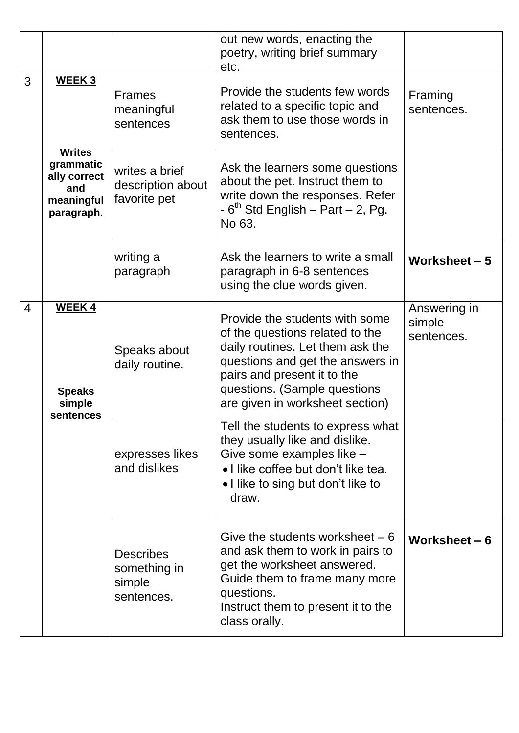|                |                                                                                         |                                                          | out new words, enacting the<br>poetry, writing brief summary<br>etc.                                                                                                                                                                        |                                      |
|----------------|-----------------------------------------------------------------------------------------|----------------------------------------------------------|---------------------------------------------------------------------------------------------------------------------------------------------------------------------------------------------------------------------------------------------|--------------------------------------|
| 3              | WEEK 3<br><b>Writes</b><br>grammatic<br>ally correct<br>and<br>meaningful<br>paragraph. | <b>Frames</b><br>meaningful<br>sentences                 | Provide the students few words<br>related to a specific topic and<br>ask them to use those words in<br>sentences.                                                                                                                           | Framing<br>sentences.                |
|                |                                                                                         | writes a brief<br>description about<br>favorite pet      | Ask the learners some questions<br>about the pet. Instruct them to<br>write down the responses. Refer<br>$-6th$ Std English – Part – 2, Pg.<br>No 63.                                                                                       |                                      |
|                |                                                                                         | writing a<br>paragraph                                   | Ask the learners to write a small<br>paragraph in 6-8 sentences<br>using the clue words given.                                                                                                                                              | Worksheet - 5                        |
| $\overline{4}$ | <b>WEEK4</b><br><b>Speaks</b><br>simple<br>sentences                                    | Speaks about<br>daily routine.                           | Provide the students with some<br>of the questions related to the<br>daily routines. Let them ask the<br>questions and get the answers in<br>pairs and present it to the<br>questions. (Sample questions<br>are given in worksheet section) | Answering in<br>simple<br>sentences. |
|                |                                                                                         | expresses likes<br>and dislikes                          | Tell the students to express what<br>they usually like and dislike.<br>Give some examples like -<br>• I like coffee but don't like tea.<br>• I like to sing but don't like to<br>draw.                                                      |                                      |
|                |                                                                                         | <b>Describes</b><br>something in<br>simple<br>sentences. | Give the students worksheet $-6$<br>and ask them to work in pairs to<br>get the worksheet answered.<br>Guide them to frame many more<br>questions.<br>Instruct them to present it to the<br>class orally.                                   | Worksheet $-6$                       |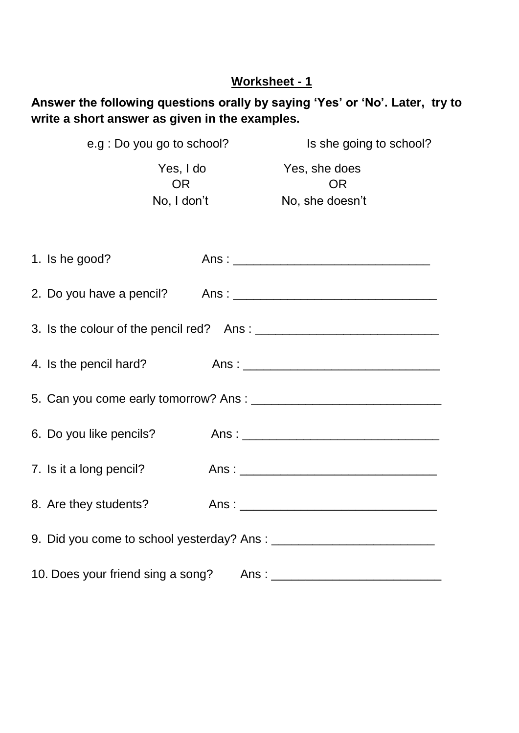# **Answer the following questions orally by saying 'Yes' or 'No'. Later, try to write a short answer as given in the examples.**

|                         | e.g : Do you go to school?            | Is she going to school?                       |  |  |  |  |
|-------------------------|---------------------------------------|-----------------------------------------------|--|--|--|--|
|                         | Yes, I do<br><b>OR</b><br>No, I don't | Yes, she does<br><b>OR</b><br>No, she doesn't |  |  |  |  |
| 1. Is he good?          |                                       |                                               |  |  |  |  |
|                         |                                       |                                               |  |  |  |  |
|                         |                                       |                                               |  |  |  |  |
| 4. Is the pencil hard?  |                                       |                                               |  |  |  |  |
|                         |                                       |                                               |  |  |  |  |
| 6. Do you like pencils? |                                       |                                               |  |  |  |  |
| 7. Is it a long pencil? |                                       |                                               |  |  |  |  |
| 8. Are they students?   |                                       |                                               |  |  |  |  |
|                         |                                       |                                               |  |  |  |  |
|                         |                                       |                                               |  |  |  |  |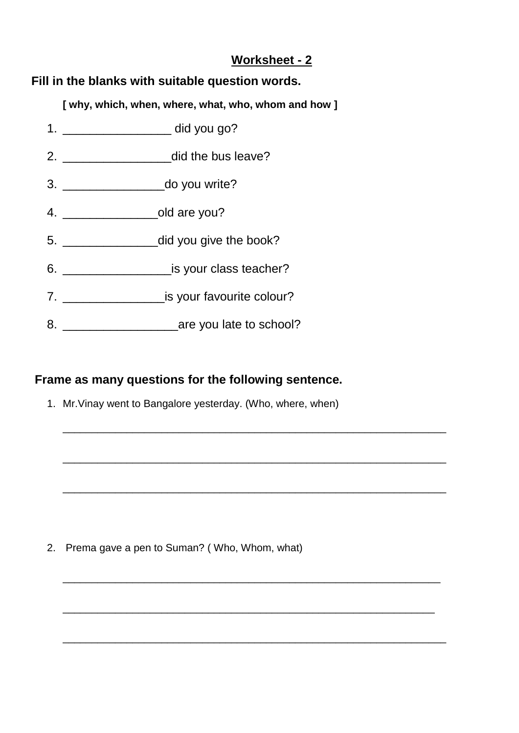### **Fill in the blanks with suitable question words.**

**[ why, which, when, where, what, who, whom and how ]**

- 1. \_\_\_\_\_\_\_\_\_\_\_\_\_\_\_\_ did you go? 2. **and all 2.** did the bus leave? 3. \_\_\_\_\_\_\_\_\_\_\_\_\_\_\_do you write? 4. \_\_\_\_\_\_\_\_\_\_\_\_\_\_old are you? 5. \_\_\_\_\_\_\_\_\_\_\_\_\_\_did you give the book? 6. \_\_\_\_\_\_\_\_\_\_\_\_\_\_\_\_is your class teacher? 7. \_\_\_\_\_\_\_\_\_\_\_\_\_\_\_is your favourite colour?
- 8. **are you late to school?**

## **Frame as many questions for the following sentence.**

1. Mr.Vinay went to Bangalore yesterday. (Who, where, when)

\_\_\_\_\_\_\_\_\_\_\_\_\_\_\_\_\_\_\_\_\_\_\_\_\_\_\_\_\_\_\_\_\_\_\_\_\_\_\_\_\_\_\_\_\_\_\_\_\_\_\_\_\_\_\_\_\_\_\_\_\_\_\_\_\_\_

\_\_\_\_\_\_\_\_\_\_\_\_\_\_\_\_\_\_\_\_\_\_\_\_\_\_\_\_\_\_\_\_\_\_\_\_\_\_\_\_\_\_\_\_\_\_\_\_\_\_\_\_\_\_\_\_\_\_\_\_\_\_\_\_\_\_

\_\_\_\_\_\_\_\_\_\_\_\_\_\_\_\_\_\_\_\_\_\_\_\_\_\_\_\_\_\_\_\_\_\_\_\_\_\_\_\_\_\_\_\_\_\_\_\_\_\_\_\_\_\_\_\_\_\_\_\_\_\_\_\_\_\_

\_\_\_\_\_\_\_\_\_\_\_\_\_\_\_\_\_\_\_\_\_\_\_\_\_\_\_\_\_\_\_\_\_\_\_\_\_\_\_\_\_\_\_\_\_\_\_\_\_\_\_\_\_\_\_\_\_\_\_\_\_\_\_\_\_

\_\_\_\_\_\_\_\_\_\_\_\_\_\_\_\_\_\_\_\_\_\_\_\_\_\_\_\_\_\_\_\_\_\_\_\_\_\_\_\_\_\_\_\_\_\_\_\_\_\_\_\_\_\_\_\_\_\_\_\_\_\_\_\_

\_\_\_\_\_\_\_\_\_\_\_\_\_\_\_\_\_\_\_\_\_\_\_\_\_\_\_\_\_\_\_\_\_\_\_\_\_\_\_\_\_\_\_\_\_\_\_\_\_\_\_\_\_\_\_\_\_\_\_\_\_\_\_\_\_\_

2. Prema gave a pen to Suman? ( Who, Whom, what)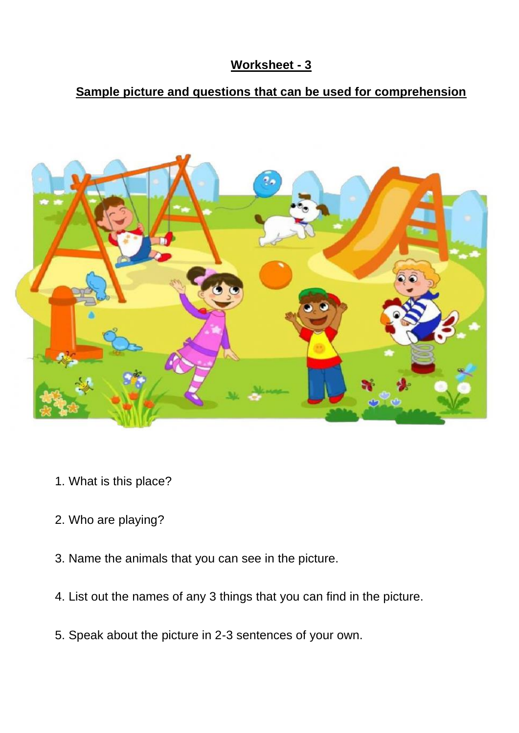# **Sample picture and questions that can be used for comprehension**



- 1. What is this place?
- 2. Who are playing?
- 3. Name the animals that you can see in the picture.
- 4. List out the names of any 3 things that you can find in the picture.
- 5. Speak about the picture in 2-3 sentences of your own.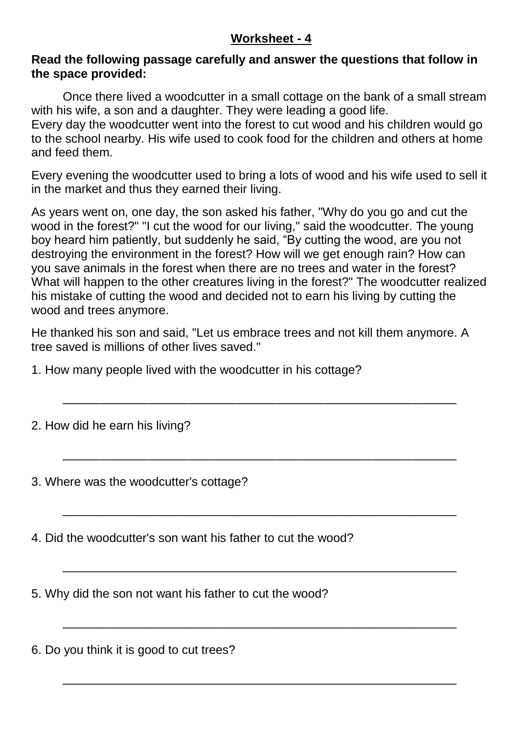#### **Read the following passage carefully and answer the questions that follow in the space provided:**

Once there lived a woodcutter in a small cottage on the bank of a small stream with his wife, a son and a daughter. They were leading a good life.

Every day the woodcutter went into the forest to cut wood and his children would go to the school nearby. His wife used to cook food for the children and others at home and feed them.

Every evening the woodcutter used to bring a lots of wood and his wife used to sell it in the market and thus they earned their living.

As years went on, one day, the son asked his father, "Why do you go and cut the wood in the forest?" "I cut the wood for our living," said the woodcutter. The young boy heard him patiently, but suddenly he said, "By cutting the wood, are you not destroying the environment in the forest? How will we get enough rain? How can you save animals in the forest when there are no trees and water in the forest? What will happen to the other creatures living in the forest?" The woodcutter realized his mistake of cutting the wood and decided not to earn his living by cutting the wood and trees anymore.

He thanked his son and said, "Let us embrace trees and not kill them anymore. A tree saved is millions of other lives saved."

\_\_\_\_\_\_\_\_\_\_\_\_\_\_\_\_\_\_\_\_\_\_\_\_\_\_\_\_\_\_\_\_\_\_\_\_\_\_\_\_\_\_\_\_\_\_\_\_\_\_\_\_\_\_\_\_\_\_

\_\_\_\_\_\_\_\_\_\_\_\_\_\_\_\_\_\_\_\_\_\_\_\_\_\_\_\_\_\_\_\_\_\_\_\_\_\_\_\_\_\_\_\_\_\_\_\_\_\_\_\_\_\_\_\_\_\_

\_\_\_\_\_\_\_\_\_\_\_\_\_\_\_\_\_\_\_\_\_\_\_\_\_\_\_\_\_\_\_\_\_\_\_\_\_\_\_\_\_\_\_\_\_\_\_\_\_\_\_\_\_\_\_\_\_\_

\_\_\_\_\_\_\_\_\_\_\_\_\_\_\_\_\_\_\_\_\_\_\_\_\_\_\_\_\_\_\_\_\_\_\_\_\_\_\_\_\_\_\_\_\_\_\_\_\_\_\_\_\_\_\_\_\_\_

\_\_\_\_\_\_\_\_\_\_\_\_\_\_\_\_\_\_\_\_\_\_\_\_\_\_\_\_\_\_\_\_\_\_\_\_\_\_\_\_\_\_\_\_\_\_\_\_\_\_\_\_\_\_\_\_\_\_

\_\_\_\_\_\_\_\_\_\_\_\_\_\_\_\_\_\_\_\_\_\_\_\_\_\_\_\_\_\_\_\_\_\_\_\_\_\_\_\_\_\_\_\_\_\_\_\_\_\_\_\_\_\_\_\_\_\_

1. How many people lived with the woodcutter in his cottage?

2. How did he earn his living?

3. Where was the woodcutter's cottage?

4. Did the woodcutter's son want his father to cut the wood?

5. Why did the son not want his father to cut the wood?

6. Do you think it is good to cut trees?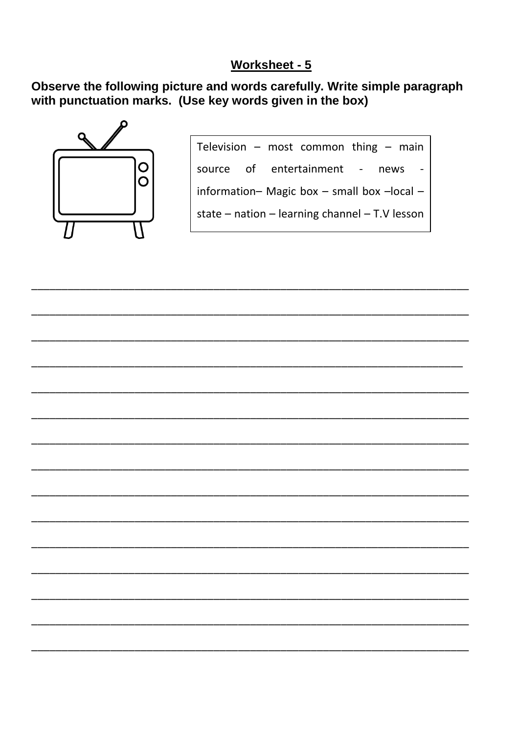Observe the following picture and words carefully. Write simple paragraph with punctuation marks. (Use key words given in the box)



Television - most common thing - main source of entertainment - news  $\overline{a}$ information- Magic box - small box -local state  $-$  nation  $-$  learning channel  $-$  T.V lesson

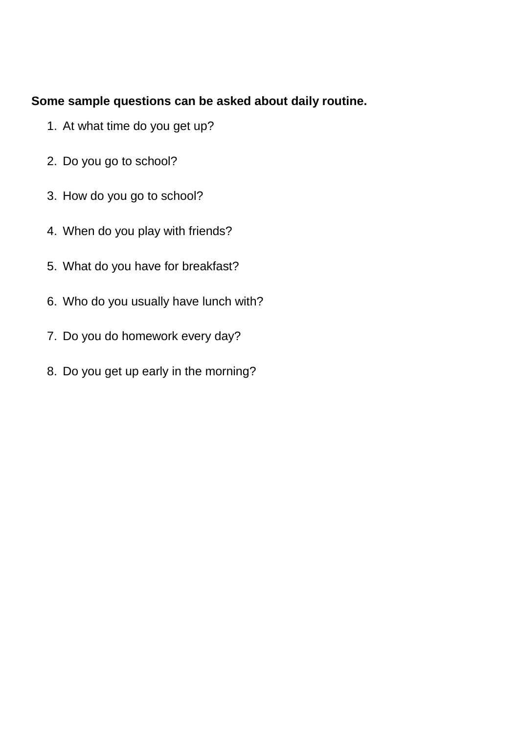## **Some sample questions can be asked about daily routine.**

- 1. At what time do you get up?
- 2. Do you go to school?
- 3. How do you go to school?
- 4. When do you play with friends?
- 5. What do you have for breakfast?
- 6. Who do you usually have lunch with?
- 7. Do you do homework every day?
- 8. Do you get up early in the morning?